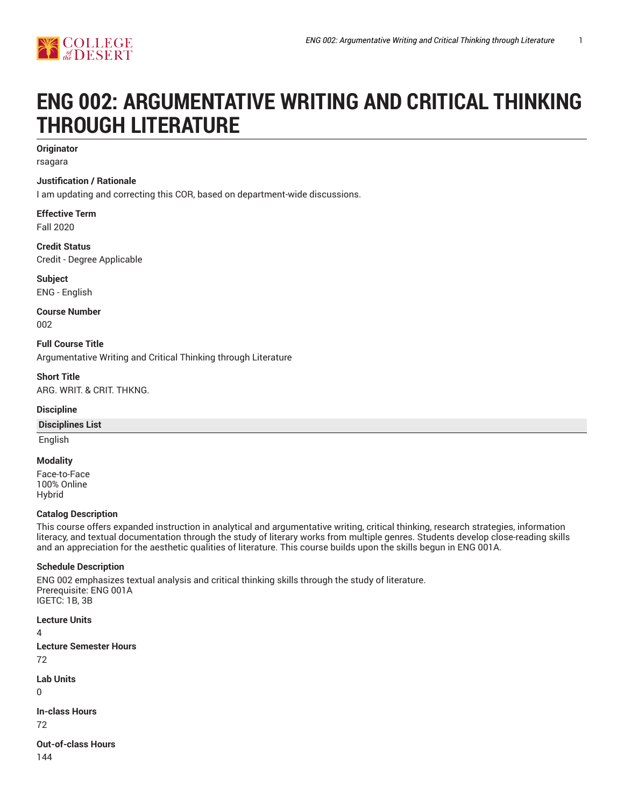

# **ENG 002: ARGUMENTATIVE WRITING AND CRITICAL THINKING THROUGH LITERATURE**

## **Originator**

rsagara

#### **Justification / Rationale**

I am updating and correcting this COR, based on department-wide discussions.

**Effective Term** Fall 2020

**Credit Status** Credit - Degree Applicable

**Subject** ENG - English

**Course Number** 002

**Full Course Title** Argumentative Writing and Critical Thinking through Literature

**Short Title** ARG. WRIT. & CRIT. THKNG.

#### **Discipline**

#### **Disciplines List**

English

#### **Modality**

Face-to-Face 100% Online Hybrid

#### **Catalog Description**

This course offers expanded instruction in analytical and argumentative writing, critical thinking, research strategies, information literacy, and textual documentation through the study of literary works from multiple genres. Students develop close-reading skills and an appreciation for the aesthetic qualities of literature. This course builds upon the skills begun in ENG 001A.

#### **Schedule Description**

ENG 002 emphasizes textual analysis and critical thinking skills through the study of literature. Prerequisite: ENG 001A IGETC: 1B, 3B

**Lecture Units** 4 **Lecture Semester Hours** 72 **Lab Units**

 $\Omega$ 

**In-class Hours**

72

**Out-of-class Hours** 144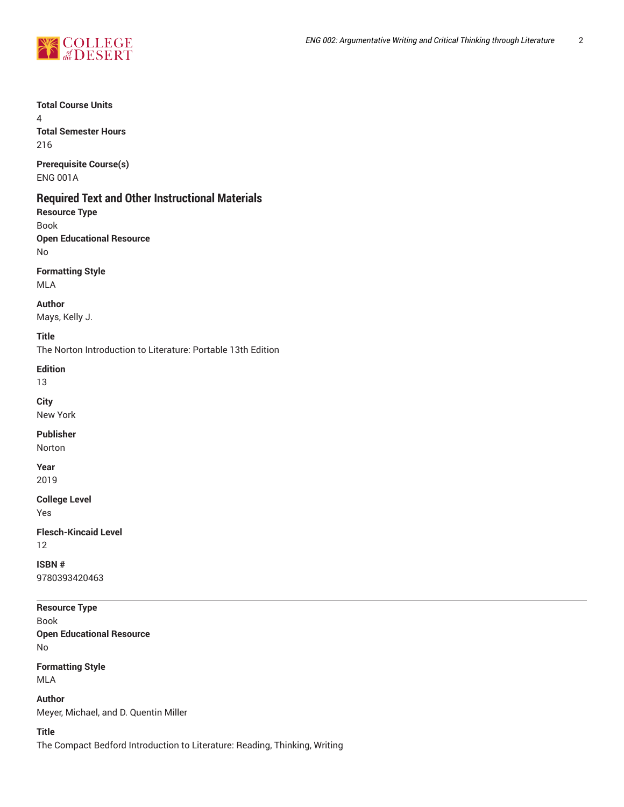

## **Total Course Units**

4 **Total Semester Hours**

216

**Prerequisite Course(s)** ENG 001A

# **Required Text and Other Instructional Materials**

**Resource Type**

Book **Open Educational Resource** No

**Formatting Style**

MLA

**Author** Mays, Kelly J.

**Title**

The Norton Introduction to Literature: Portable 13th Edition

**Edition**

13

**City** New York

**Publisher**

Norton

**Year** 2019

**College Level** Yes

**Flesch-Kincaid Level** 12

**ISBN #** 9780393420463

**Resource Type**

Book **Open Educational Resource** No

**Formatting Style** MLA

**Author** Meyer, Michael, and D. Quentin Miller

**Title**

The Compact Bedford Introduction to Literature: Reading, Thinking, Writing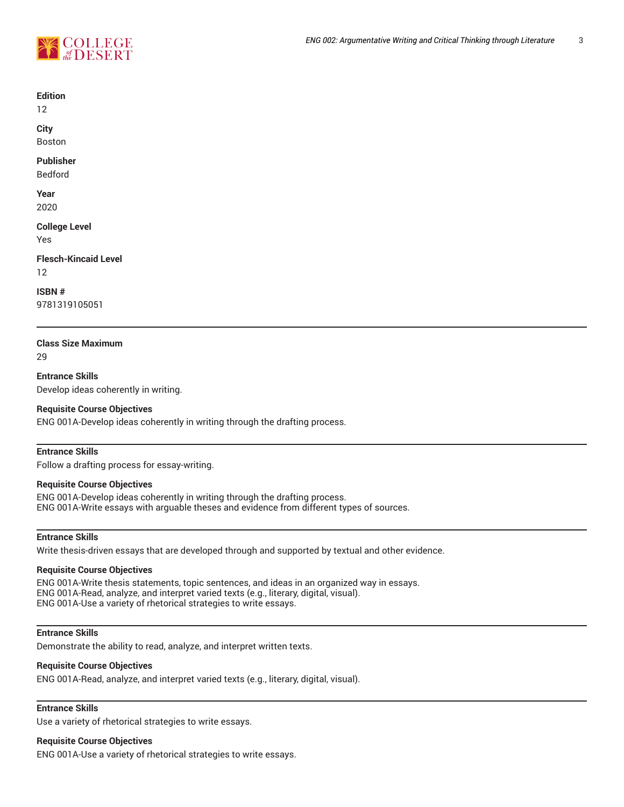

#### **Edition**

12

**City**

Boston

## **Publisher**

Bedford

**Year** 2020

## **College Level**

Yes

## **Flesch-Kincaid Level**

12

**ISBN #**

9781319105051

## **Class Size Maximum**

 $29$ 

**Entrance Skills** Develop ideas coherently in writing.

## **Requisite Course Objectives**

ENG 001A-Develop ideas coherently in writing through the drafting process.

## **Entrance Skills**

Follow a drafting process for essay-writing.

#### **Requisite Course Objectives**

ENG 001A-Develop ideas coherently in writing through the drafting process. ENG 001A-Write essays with arguable theses and evidence from different types of sources.

## **Entrance Skills**

Write thesis-driven essays that are developed through and supported by textual and other evidence.

## **Requisite Course Objectives**

ENG 001A-Write thesis statements, topic sentences, and ideas in an organized way in essays. ENG 001A-Read, analyze, and interpret varied texts (e.g., literary, digital, visual). ENG 001A-Use a variety of rhetorical strategies to write essays.

## **Entrance Skills**

Demonstrate the ability to read, analyze, and interpret written texts.

#### **Requisite Course Objectives**

ENG 001A-Read, analyze, and interpret varied texts (e.g., literary, digital, visual).

## **Entrance Skills**

Use a variety of rhetorical strategies to write essays.

#### **Requisite Course Objectives**

ENG 001A-Use a variety of rhetorical strategies to write essays.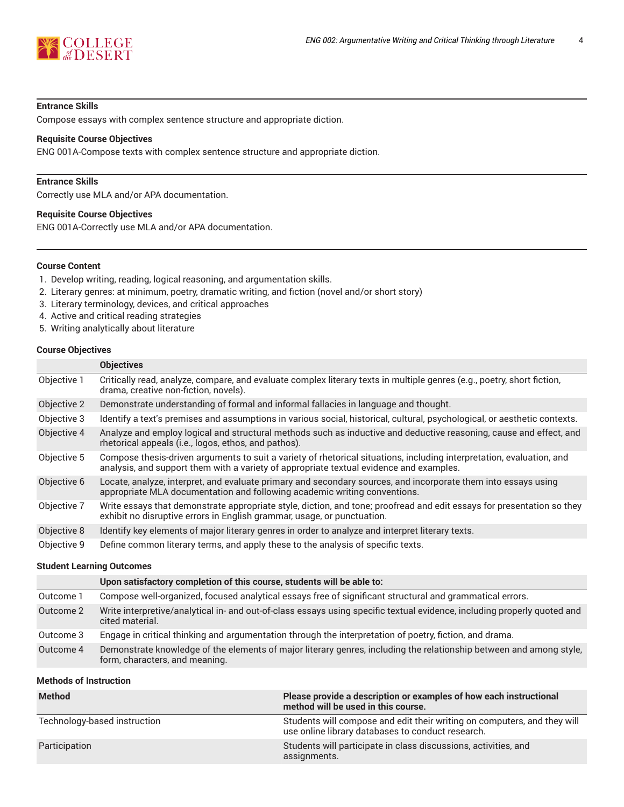

#### **Entrance Skills**

Compose essays with complex sentence structure and appropriate diction.

#### **Requisite Course Objectives**

ENG 001A-Compose texts with complex sentence structure and appropriate diction.

## **Entrance Skills**

Correctly use MLA and/or APA documentation.

#### **Requisite Course Objectives**

ENG 001A-Correctly use MLA and/or APA documentation.

#### **Course Content**

- 1. Develop writing, reading, logical reasoning, and argumentation skills.
- 2. Literary genres: at minimum, poetry, dramatic writing, and fiction (novel and/or short story)
- 3. Literary terminology, devices, and critical approaches
- 4. Active and critical reading strategies
- 5. Writing analytically about literature

#### **Course Objectives**

|             | <b>Objectives</b>                                                                                                                                                                                                |
|-------------|------------------------------------------------------------------------------------------------------------------------------------------------------------------------------------------------------------------|
| Objective 1 | Critically read, analyze, compare, and evaluate complex literary texts in multiple genres (e.g., poetry, short fiction,<br>drama, creative non-fiction, novels).                                                 |
| Objective 2 | Demonstrate understanding of formal and informal fallacies in language and thought.                                                                                                                              |
| Objective 3 | Identify a text's premises and assumptions in various social, historical, cultural, psychological, or aesthetic contexts.                                                                                        |
| Objective 4 | Analyze and employ logical and structural methods such as inductive and deductive reasoning, cause and effect, and<br>rhetorical appeals (i.e., logos, ethos, and pathos).                                       |
| Objective 5 | Compose thesis-driven arguments to suit a variety of rhetorical situations, including interpretation, evaluation, and<br>analysis, and support them with a variety of appropriate textual evidence and examples. |
| Objective 6 | Locate, analyze, interpret, and evaluate primary and secondary sources, and incorporate them into essays using<br>appropriate MLA documentation and following academic writing conventions.                      |
| Objective 7 | Write essays that demonstrate appropriate style, diction, and tone; proofread and edit essays for presentation so they<br>exhibit no disruptive errors in English grammar, usage, or punctuation.                |
| Objective 8 | Identify key elements of major literary genres in order to analyze and interpret literary texts.                                                                                                                 |
| Objective 9 | Define common literary terms, and apply these to the analysis of specific texts.                                                                                                                                 |

## **Student Learning Outcomes**

|           | Upon satisfactory completion of this course, students will be able to:                                                                                |
|-----------|-------------------------------------------------------------------------------------------------------------------------------------------------------|
| Outcome 1 | Compose well-organized, focused analytical essays free of significant structural and grammatical errors.                                              |
| Outcome 2 | Write interpretive/analytical in- and out-of-class essays using specific textual evidence, including properly quoted and<br>cited material.           |
| Outcome 3 | Engage in critical thinking and argumentation through the interpretation of poetry, fiction, and drama.                                               |
| Outcome 4 | Demonstrate knowledge of the elements of major literary genres, including the relationship between and among style,<br>form, characters, and meaning. |

#### **Methods of Instruction**

| <b>Method</b>                | Please provide a description or examples of how each instructional<br>method will be used in this course.                     |
|------------------------------|-------------------------------------------------------------------------------------------------------------------------------|
| Technology-based instruction | Students will compose and edit their writing on computers, and they will<br>use online library databases to conduct research. |
| Participation                | Students will participate in class discussions, activities, and<br>assignments.                                               |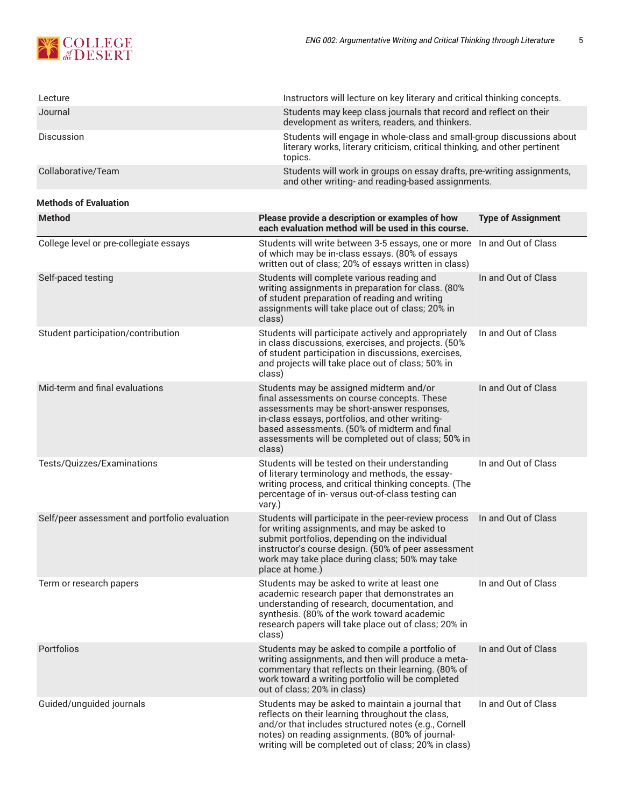

| Lecture                                       | Instructors will lecture on key literary and critical thinking concepts.                                                                                                                                                                                                                                |                           |  |
|-----------------------------------------------|---------------------------------------------------------------------------------------------------------------------------------------------------------------------------------------------------------------------------------------------------------------------------------------------------------|---------------------------|--|
| Journal                                       | Students may keep class journals that record and reflect on their<br>development as writers, readers, and thinkers.                                                                                                                                                                                     |                           |  |
| Discussion                                    | Students will engage in whole-class and small-group discussions about<br>literary works, literary criticism, critical thinking, and other pertinent<br>topics.                                                                                                                                          |                           |  |
| Collaborative/Team                            | Students will work in groups on essay drafts, pre-writing assignments,<br>and other writing- and reading-based assignments.                                                                                                                                                                             |                           |  |
| <b>Methods of Evaluation</b>                  |                                                                                                                                                                                                                                                                                                         |                           |  |
| <b>Method</b>                                 | Please provide a description or examples of how<br>each evaluation method will be used in this course.                                                                                                                                                                                                  | <b>Type of Assignment</b> |  |
| College level or pre-collegiate essays        | Students will write between 3-5 essays, one or more<br>of which may be in-class essays. (80% of essays<br>written out of class; 20% of essays written in class)                                                                                                                                         | In and Out of Class       |  |
| Self-paced testing                            | Students will complete various reading and<br>writing assignments in preparation for class. (80%<br>of student preparation of reading and writing<br>assignments will take place out of class; 20% in<br>class)                                                                                         | In and Out of Class       |  |
| Student participation/contribution            | Students will participate actively and appropriately<br>in class discussions, exercises, and projects. (50%<br>of student participation in discussions, exercises,<br>and projects will take place out of class; 50% in<br>class)                                                                       | In and Out of Class       |  |
| Mid-term and final evaluations                | Students may be assigned midterm and/or<br>final assessments on course concepts. These<br>assessments may be short-answer responses,<br>in-class essays, portfolios, and other writing-<br>based assessments. (50% of midterm and final<br>assessments will be completed out of class; 50% in<br>class) | In and Out of Class       |  |
| Tests/Quizzes/Examinations                    | Students will be tested on their understanding<br>of literary terminology and methods, the essay-<br>writing process, and critical thinking concepts. (The<br>percentage of in-versus out-of-class testing can<br>vary.)                                                                                | In and Out of Class       |  |
| Self/peer assessment and portfolio evaluation | Students will participate in the peer-review process<br>for writing assignments, and may be asked to<br>submit portfolios, depending on the individual<br>instructor's course design. (50% of peer assessment<br>work may take place during class; 50% may take<br>place at home.)                      | In and Out of Class       |  |
| Term or research papers                       | Students may be asked to write at least one<br>academic research paper that demonstrates an<br>understanding of research, documentation, and<br>synthesis. (80% of the work toward academic<br>research papers will take place out of class; 20% in<br>class)                                           | In and Out of Class       |  |
| Portfolios                                    | Students may be asked to compile a portfolio of<br>writing assignments, and then will produce a meta-<br>commentary that reflects on their learning. (80% of<br>work toward a writing portfolio will be completed<br>out of class; 20% in class)                                                        | In and Out of Class       |  |
| Guided/unguided journals                      | Students may be asked to maintain a journal that<br>reflects on their learning throughout the class,<br>and/or that includes structured notes (e.g., Cornell<br>notes) on reading assignments. (80% of journal-<br>writing will be completed out of class; 20% in class)                                | In and Out of Class       |  |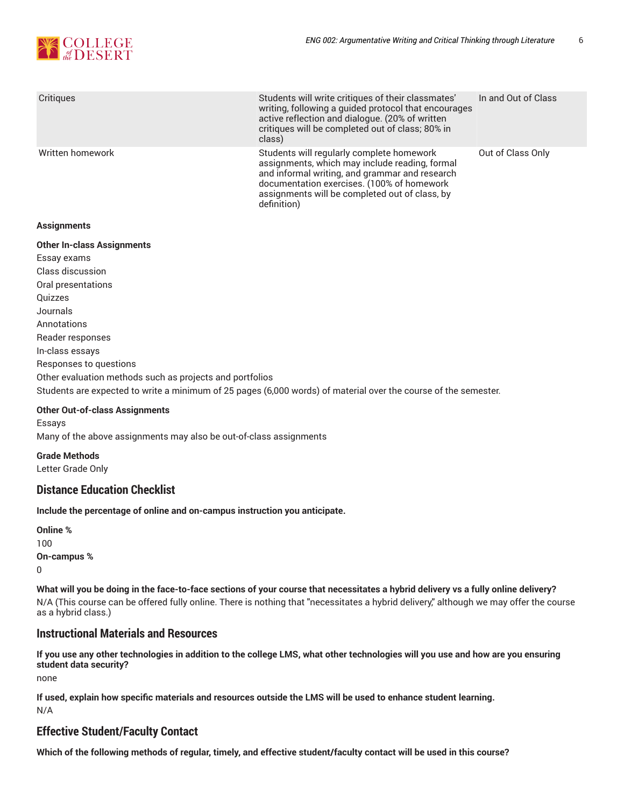

| Critiques        | Students will write critiques of their classmates'<br>writing, following a guided protocol that encourages<br>active reflection and dialogue. (20% of written<br>critiques will be completed out of class; 80% in<br>class)                                  | In and Out of Class |
|------------------|--------------------------------------------------------------------------------------------------------------------------------------------------------------------------------------------------------------------------------------------------------------|---------------------|
| Written homework | Students will regularly complete homework<br>assignments, which may include reading, formal<br>and informal writing, and grammar and research<br>documentation exercises. (100% of homework<br>assignments will be completed out of class, by<br>definition) | Out of Class Only   |

#### **Assignments**

# **Other In-class Assignments** Essay exams Class discussion Oral presentations Quizzes Journals Annotations Reader responses In-class essays Responses to questions Other evaluation methods such as projects and portfolios Students are expected to write a minimum of 25 pages (6,000 words) of material over the course of the semester. **Other Out-of-class Assignments**

Essays Many of the above assignments may also be out-of-class assignments

**Grade Methods** Letter Grade Only

# **Distance Education Checklist**

**Include the percentage of online and on-campus instruction you anticipate.**

**Online %** 100 **On-campus %** 0

What will you be doing in the face-to-face sections of your course that necessitates a hybrid delivery vs a fully online delivery? N/A (This course can be offered fully online. There is nothing that "necessitates a hybrid delivery," although we may offer the course as a hybrid class.)

# **Instructional Materials and Resources**

If you use any other technologies in addition to the college LMS, what other technologies will you use and how are you ensuring **student data security?**

none

**If used, explain how specific materials and resources outside the LMS will be used to enhance student learning.** N/A

# **Effective Student/Faculty Contact**

Which of the following methods of regular, timely, and effective student/faculty contact will be used in this course?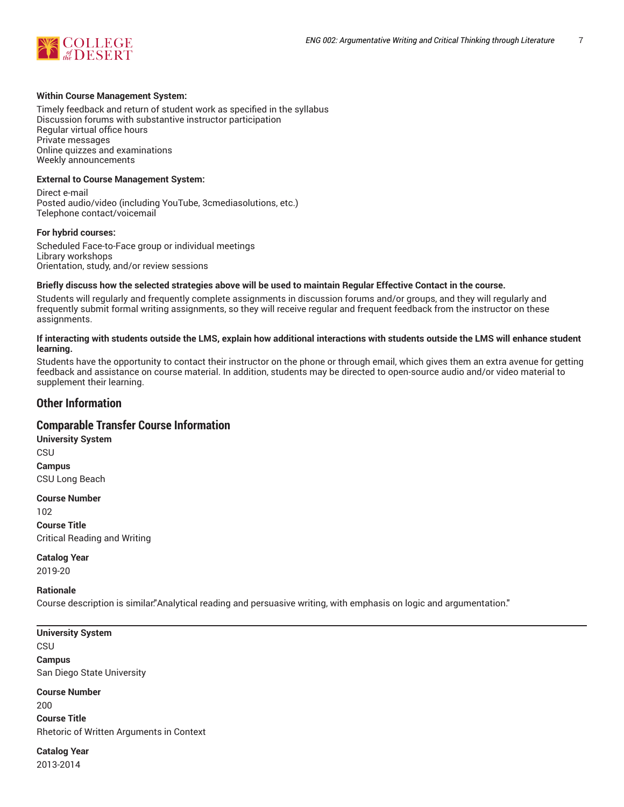

#### **Within Course Management System:**

Timely feedback and return of student work as specified in the syllabus Discussion forums with substantive instructor participation Regular virtual office hours Private messages Online quizzes and examinations Weekly announcements

#### **External to Course Management System:**

Direct e-mail Posted audio/video (including YouTube, 3cmediasolutions, etc.) Telephone contact/voicemail

#### **For hybrid courses:**

Scheduled Face-to-Face group or individual meetings Library workshops Orientation, study, and/or review sessions

#### Briefly discuss how the selected strategies above will be used to maintain Regular Effective Contact in the course.

Students will regularly and frequently complete assignments in discussion forums and/or groups, and they will regularly and frequently submit formal writing assignments, so they will receive regular and frequent feedback from the instructor on these assignments.

#### **If interacting with students outside the LMS, explain how additional interactions with students outside the LMS will enhance student learning.**

Students have the opportunity to contact their instructor on the phone or through email, which gives them an extra avenue for getting feedback and assistance on course material. In addition, students may be directed to open-source audio and/or video material to supplement their learning.

## **Other Information**

## **Comparable Transfer Course Information**

**University System CSU Campus** CSU Long Beach

**Course Number** 102 **Course Title** Critical Reading and Writing

**Catalog Year** 2019-20

#### **Rationale**

Course description is similar:"Analytical reading and persuasive writing, with emphasis on logic and argumentation."

**University System CSU Campus** San Diego State University

**Course Number**  $200$ 

**Course Title** Rhetoric of Written Arguments in Context

**Catalog Year** 2013-2014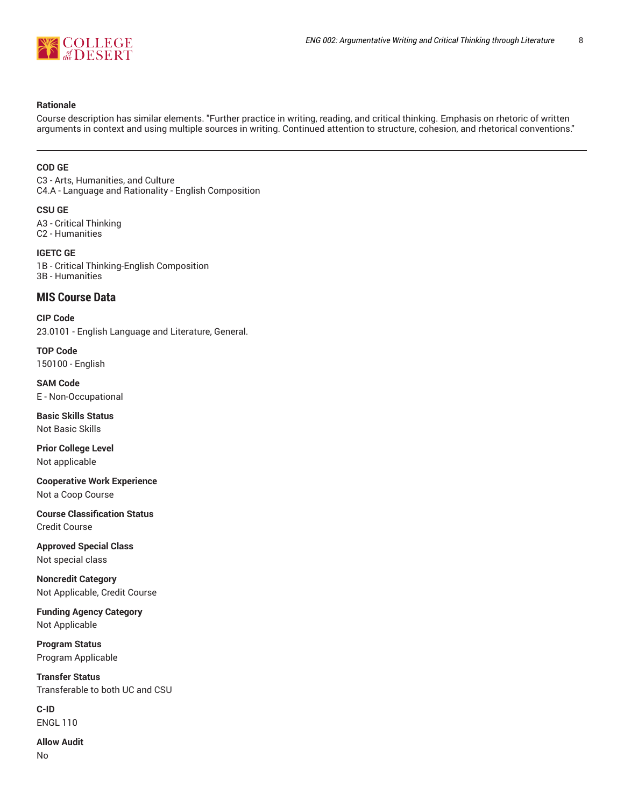

#### **Rationale**

Course description has similar elements. "Further practice in writing, reading, and critical thinking. Emphasis on rhetoric of written arguments in context and using multiple sources in writing. Continued attention to structure, cohesion, and rhetorical conventions."

#### **COD GE**

C3 - Arts, Humanities, and Culture C4.A - Language and Rationality - English Composition

#### **CSU GE**

A3 - Critical Thinking C2 - Humanities

#### **IGETC GE** 1B - Critical Thinking-English Composition 3B - Humanities

# **MIS Course Data**

**CIP Code** 23.0101 - English Language and Literature, General.

**TOP Code** 150100 - English

**SAM Code** E - Non-Occupational

**Basic Skills Status** Not Basic Skills

**Prior College Level** Not applicable

**Cooperative Work Experience** Not a Coop Course

**Course Classification Status** Credit Course

**Approved Special Class** Not special class

**Noncredit Category** Not Applicable, Credit Course

**Funding Agency Category** Not Applicable

**Program Status** Program Applicable

**Transfer Status** Transferable to both UC and CSU

**C-ID** ENGL 110

**Allow Audit** No